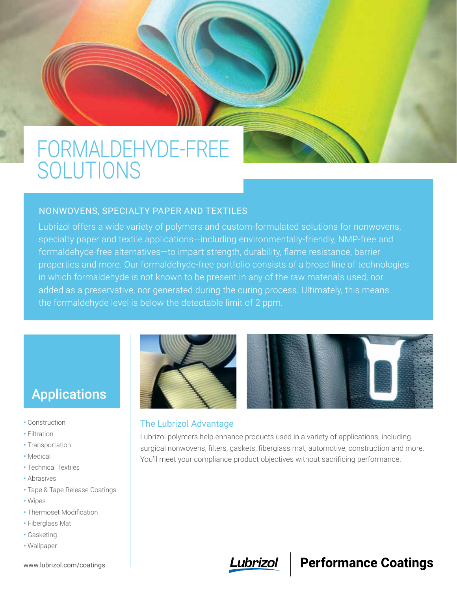# FORMALDEHYDE-FREE SOLUTIONS

#### NONWOVENS, SPECIALTY PAPER AND TEXTILES

Lubrizol offers a wide variety of polymers and custom-formulated solutions for nonwovens, specialty paper and textile applications—including environmentally-friendly, NMP-free and formaldehyde-free alternatives—to impart strength, durability, flame resistance, barrier properties and more. Our formaldehyde-free portfolio consists of a broad line of technologies in which formaldehyde is not known to be present in any of the raw materials used, nor added as a preservative, nor generated during the curing process. Ultimately, this means the formaldehyde level is below the detectable limit of 2 ppm.

## Applications

- Construction
- Filtration
- Transportation
- Medical
- Technical Textiles
- Abrasives
- Tape & Tape Release Coatings
- Wipes
- Thermoset Modification
- Fiberglass Mat
- Gasketing
- Wallpaper



### The Lubrizol Advantage

Lubrizol polymers help enhance products used in a variety of applications, including surgical nonwovens, filters, gaskets, fiberglass mat, automotive, construction and more. You'll meet your compliance product objectives without sacrificing performance.



### **Performance Coatings**

www.lubrizol.com/coatings